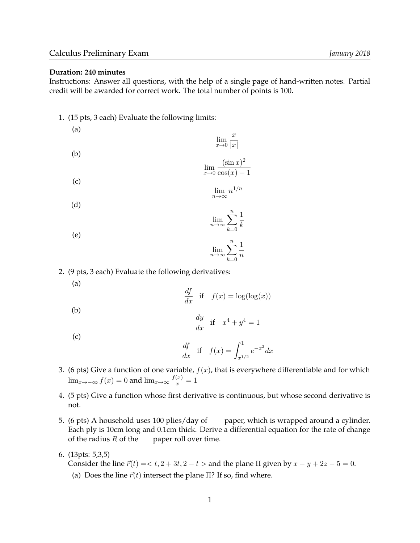## **Duration: 240 minutes**

Instructions: Answer all questions, with the help of a single page of hand-written notes. Partial credit will be awarded for correct work. The total number of points is 100.

1. (15 pts, 3 each) Evaluate the following limits:

(a)  $\lim_{x\to 0}$  $\boldsymbol{x}$  $|x|$ (b)

(c)  

$$
\lim_{x \to 0} \frac{(\sin x)^2}{\cos(x) - 1}
$$

$$
\lim_{n \to \infty} n^{1/n}
$$

$$
\lim_{n \to \infty} \sum_{k=0}^{n} \frac{1}{k}
$$

$$
\lim_{n \to \infty} \sum_{k=0}^{n} \frac{1}{n}
$$

2. (9 pts, 3 each) Evaluate the following derivatives:

$$
\left( a\right)
$$

(d)

(e)

$$
\frac{df}{dx} \quad \text{if} \quad f(x) = \log(\log(x))
$$

(b)

 $\frac{dy}{dx}$  if  $x^4 + y^4 = 1$ 

(c)

$$
\frac{df}{dx} \text{ if } f(x) = \int_{x^{1/2}}^{1} e^{-x^2} dx
$$

- 3. (6 pts) Give a function of one variable,  $f(x)$ , that is everywhere differentiable and for which  $\lim_{x \to -\infty} f(x) = 0$  and  $\lim_{x \to \infty} \frac{f(x)}{x} = 1$
- 4. (5 pts) Give a function whose first derivative is continuous, but whose second derivative is not.
- 5. (6 pts) A household uses 100 plies/day of paper, which is wrapped around a cylinder. Each ply is 10cm long and 0.1cm thick. Derive a differential equation for the rate of change of the radius  $R$  of the paper roll over time.
- 6. (13pts: 5,3,5)

Consider the line  $\vec{r}(t) = < t$ ,  $2 + 3t$ ,  $2 - t >$  and the plane  $\Pi$  given by  $x - y + 2z - 5 = 0$ . (a) Does the line  $\vec{r}(t)$  intersect the plane Π? If so, find where.